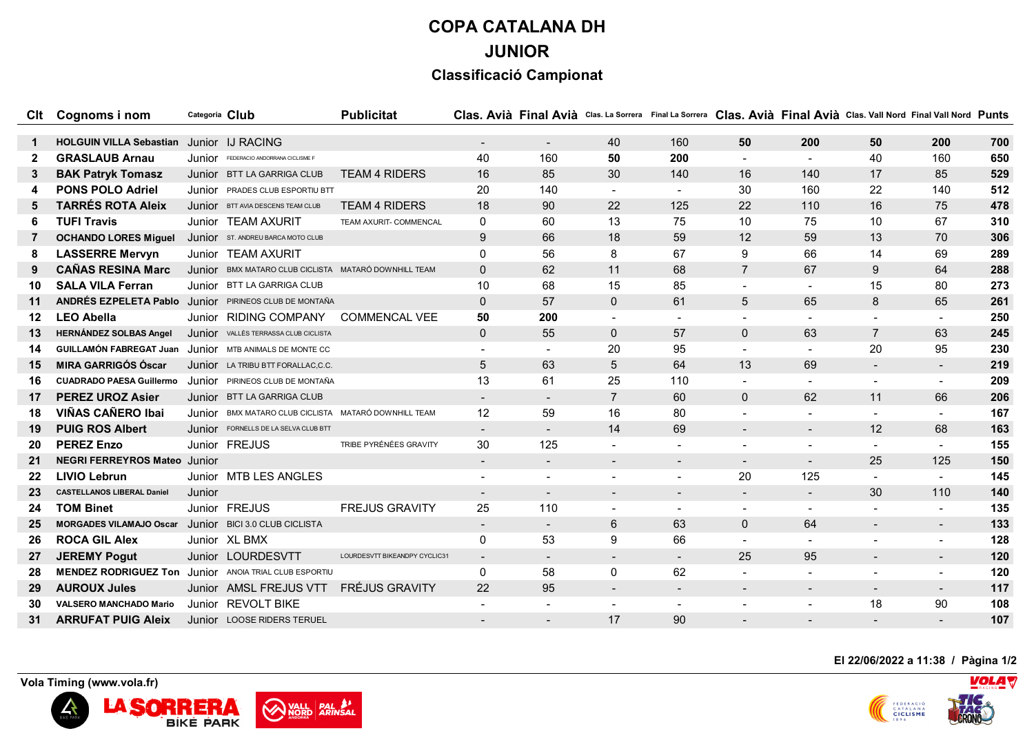## **COPA CATALANA DH JUNIOR**

## **Classificació Campionat**

|              | Clt Cognoms i nom                                             | Categoria Club |                                                      | <b>Publicitat</b>             |                |                          |                          |                |                |                          | Clas. Avià Final Avià Clas. La Sorrera Final La Sorrera Clas. Avià Final Avià Clas. Vall Nord Final Vall Nord Punts |                          |     |
|--------------|---------------------------------------------------------------|----------------|------------------------------------------------------|-------------------------------|----------------|--------------------------|--------------------------|----------------|----------------|--------------------------|---------------------------------------------------------------------------------------------------------------------|--------------------------|-----|
|              |                                                               |                |                                                      |                               |                |                          |                          |                |                |                          |                                                                                                                     |                          |     |
| $\mathbf 1$  | HOLGUIN VILLA Sebastian Junior IJ RACING                      |                |                                                      |                               | $\blacksquare$ | $\blacksquare$           | 40                       | 160            | 50             | 200                      | 50                                                                                                                  | 200                      | 700 |
| $\mathbf{2}$ | <b>GRASLAUB Arnau</b>                                         | Junior         | FEDERACIO ANDORRANA CICLISME F                       |                               | 40             | 160                      | 50                       | 200            |                |                          | 40                                                                                                                  | 160                      | 650 |
| 3            | <b>BAK Patryk Tomasz</b>                                      |                | Junior BTT LA GARRIGA CLUB                           | <b>TEAM 4 RIDERS</b>          | 16             | 85                       | 30                       | 140            | 16             | 140                      | 17                                                                                                                  | 85                       | 529 |
|              | <b>PONS POLO Adriel</b>                                       |                | Junior PRADES CLUB ESPORTIU BTT                      |                               | 20             | 140                      |                          |                | 30             | 160                      | 22                                                                                                                  | 140                      | 512 |
| 5            | <b>TARRÉS ROTA Aleix</b>                                      |                | Junior BTT AVIA DESCENS TEAM CLUB                    | <b>TEAM 4 RIDERS</b>          | 18             | 90                       | 22                       | 125            | 22             | 110                      | 16                                                                                                                  | 75                       | 478 |
| 6            | <b>TUFI Travis</b>                                            |                | Junior TEAM AXURIT                                   | TEAM AXURIT- COMMENCAL        | 0              | 60                       | 13                       | 75             | 10             | 75                       | 10                                                                                                                  | 67                       | 310 |
| 7            | <b>OCHANDO LORES Miguel</b>                                   |                | Junior ST. ANDREU BARCA MOTO CLUB                    |                               | 9              | 66                       | 18                       | 59             | 12             | 59                       | 13                                                                                                                  | 70                       | 306 |
| 8            | <b>LASSERRE Mervyn</b>                                        |                | Junior TEAM AXURIT                                   |                               | 0              | 56                       | 8                        | 67             | 9              | 66                       | 14                                                                                                                  | 69                       | 289 |
| 9            | <b>CAÑAS RESINA Marc</b>                                      |                | Junior BMX MATARO CLUB CICLISTA MATARÓ DOWNHILL TEAM |                               | $\mathbf{0}$   | 62                       | 11                       | 68             | $\overline{7}$ | 67                       | 9                                                                                                                   | 64                       | 288 |
| 10           | <b>SALA VILA Ferran</b>                                       |                | Junior BTT LA GARRIGA CLUB                           |                               | 10             | 68                       | 15                       | 85             |                |                          | 15                                                                                                                  | 80                       | 273 |
| 11           | ANDRÉS EZPELETA Pablo Junior PIRINEOS CLUB DE MONTAÑA         |                |                                                      |                               | $\mathbf{0}$   | 57                       | 0                        | 61             | $\overline{5}$ | 65                       | 8                                                                                                                   | 65                       | 261 |
| 12           | <b>LEO Abella</b>                                             |                | Junior RIDING COMPANY                                | <b>COMMENCAL VEE</b>          | 50             | 200                      | $\blacksquare$           | $\overline{a}$ |                |                          | $\overline{a}$                                                                                                      | $\sim$                   | 250 |
| 13           | <b>HERNÁNDEZ SOLBAS Angel</b>                                 |                | Junior VALLÈS TERRASSA CLUB CICLISTA                 |                               | $\mathbf 0$    | 55                       | 0                        | 57             | $\mathbf{0}$   | 63                       | $\overline{7}$                                                                                                      | 63                       | 245 |
| 14           | <b>GUILLAMÓN FABREGAT Juan</b> Junior MTB ANIMALS DE MONTE CC |                |                                                      |                               |                |                          | 20                       | 95             |                |                          | 20                                                                                                                  | 95                       | 230 |
| 15           | <b>MIRA GARRIGÓS Óscar</b>                                    |                | Junior LA TRIBU BTT FORALLAC, C.C.                   |                               | 5              | 63                       | 5                        | 64             | 13             | 69                       | $\blacksquare$                                                                                                      | $\blacksquare$           | 219 |
| 16           | <b>CUADRADO PAESA Guillermo</b>                               |                | Junior PIRINEOS CLUB DE MONTAÑA                      |                               | 13             | 61                       | 25                       | 110            |                |                          | $\overline{a}$                                                                                                      | $\sim$                   | 209 |
| 17           | <b>PEREZ UROZ Asier</b>                                       |                | Junior BTT LA GARRIGA CLUB                           |                               | $\blacksquare$ | $\overline{\phantom{a}}$ | $\overline{7}$           | 60             | $\mathbf{0}$   | 62                       | 11                                                                                                                  | 66                       | 206 |
| 18           | <b>VIÑAS CAÑERO Ibai</b>                                      |                | JUNIOF BMX MATARO CLUB CICLISTA MATARÓ DOWNHILL TEAM |                               | 12             | 59                       | 16                       | 80             |                |                          |                                                                                                                     |                          | 167 |
| 19           | <b>PUIG ROS Albert</b>                                        |                | Junior FORNELLS DE LA SELVA CLUB BTT                 |                               | $\sim$         | $\overline{\phantom{a}}$ | 14                       | 69             | $\blacksquare$ | $\sim$                   | 12                                                                                                                  | 68                       | 163 |
| 20           | <b>PEREZ Enzo</b>                                             |                | Junior FREJUS                                        | TRIBE PYRÉNÉES GRAVITY        | 30             | 125                      |                          |                |                |                          | $\overline{\phantom{a}}$                                                                                            | $\blacksquare$           | 155 |
| 21           | <b>NEGRI FERREYROS Mateo Junior</b>                           |                |                                                      |                               | $\sim$         | $\blacksquare$           |                          |                |                | $\sim$                   | 25                                                                                                                  | 125                      | 150 |
| 22           | <b>LIVIO Lebrun</b>                                           |                | Junior MTB LES ANGLES                                |                               |                | $\blacksquare$           |                          |                | 20             | 125                      |                                                                                                                     |                          | 145 |
| 23           | <b>CASTELLANOS LIBERAL Daniel</b>                             | Junior         |                                                      |                               | $\blacksquare$ | $\overline{\phantom{a}}$ | $\blacksquare$           | $\blacksquare$ | $\blacksquare$ | $\sim$                   | 30                                                                                                                  | 110                      | 140 |
| 24           | <b>TOM Binet</b>                                              |                | Junior FREJUS                                        | <b>FREJUS GRAVITY</b>         | 25             | 110                      |                          |                |                |                          |                                                                                                                     |                          | 135 |
| 25           | <b>MORGADES VILAMAJO Oscar</b>                                |                | Junior BICI 3.0 CLUB CICLISTA                        |                               | $\blacksquare$ | $\sim$                   | 6                        | 63             | $\mathbf{0}$   | 64                       | $\blacksquare$                                                                                                      | $\blacksquare$           | 133 |
| 26           | <b>ROCA GIL Alex</b>                                          |                | Junior XL BMX                                        |                               | 0              | 53                       | 9                        | 66             |                |                          | $\blacksquare$                                                                                                      | $\sim$                   | 128 |
| 27           | <b>JEREMY Pogut</b>                                           |                | Junior LOURDESVTT                                    | LOURDESVTT BIKEANDPY CYCLIC31 | $\blacksquare$ | $\blacksquare$           | $\blacksquare$           | $\sim$         | 25             | 95                       | $\blacksquare$                                                                                                      | $\blacksquare$           | 120 |
| 28           | <b>MENDEZ RODRIGUEZ Ton</b> Junior ANOIA TRIAL CLUB ESPORTIU  |                |                                                      |                               | 0              | 58                       | 0                        | 62             |                |                          | $\blacksquare$                                                                                                      | $\sim$                   | 120 |
| 29           | <b>AUROUX Jules</b>                                           |                | Junior AMSL FREJUS VTT                               | <b>FRÉJUS GRAVITY</b>         | 22             | 95                       |                          |                |                | $\overline{\phantom{a}}$ | $\blacksquare$                                                                                                      | $\overline{\phantom{a}}$ | 117 |
|              | <b>VALSERO MANCHADO Mario</b>                                 |                | Junior REVOLT BIKE                                   |                               |                |                          | $\overline{\phantom{0}}$ |                |                | $\overline{\phantom{a}}$ | 18                                                                                                                  | 90                       | 108 |
| 31           | <b>ARRUFAT PUIG Aleix</b>                                     |                | Junior LOOSE RIDERS TERUEL                           |                               |                | $\blacksquare$           | 17                       | 90             |                |                          |                                                                                                                     |                          | 107 |

**El 22/06/2022 a 11:38 / Pàgina 1/2**



 **Vola Timing (www.vola.fr)**